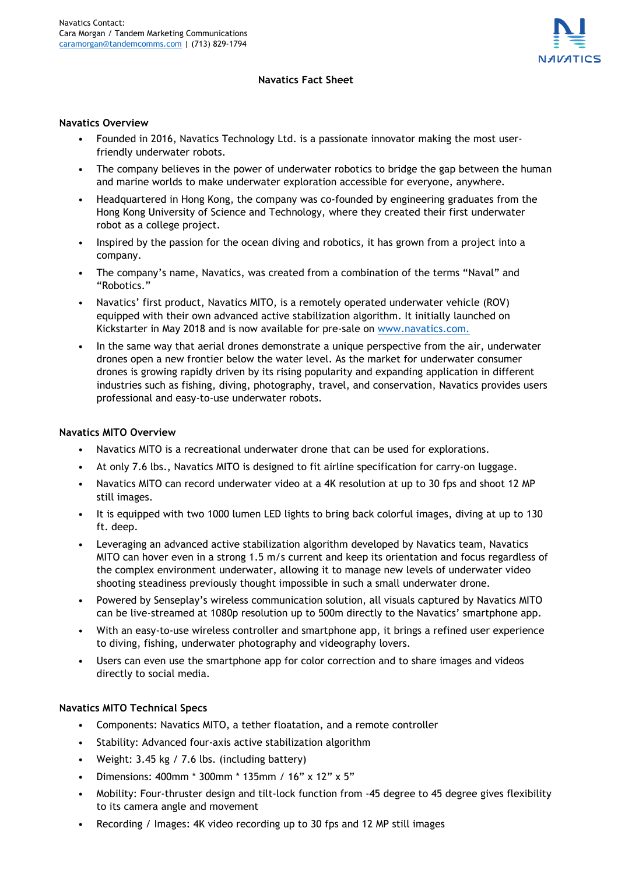

# **Navatics Fact Sheet**

### **Navatics Overview**

- Founded in 2016, Navatics Technology Ltd. is a passionate innovator making the most userfriendly underwater robots.
- The company believes in the power of underwater robotics to bridge the gap between the human and marine worlds to make underwater exploration accessible for everyone, anywhere.
- Headquartered in Hong Kong, the company was co-founded by engineering graduates from the Hong Kong University of Science and Technology, where they created their first underwater robot as a college project.
- Inspired by the passion for the ocean diving and robotics, it has grown from a project into a company.
- The company's name, Navatics, was created from a combination of the terms "Naval" and "Robotics."
- Navatics' first product, Navatics MITO, is a remotely operated underwater vehicle (ROV) equipped with their own advanced active stabilization algorithm. It initially launched on Kickstarter in May 2018 and is now available for pre-sale on [www.navatics.com.](http://www.navatics.com./)
- In the same way that aerial drones demonstrate a unique perspective from the air, underwater drones open a new frontier below the water level. As the market for underwater consumer drones is growing rapidly driven by its rising popularity and expanding application in different industries such as fishing, diving, photography, travel, and conservation, Navatics provides users professional and easy-to-use underwater robots.

# **Navatics MITO Overview**

- Navatics MITO is a recreational underwater drone that can be used for explorations.
- At only 7.6 lbs., Navatics MITO is designed to fit airline specification for carry-on luggage.
- Navatics MITO can record underwater video at a 4K resolution at up to 30 fps and shoot 12 MP still images.
- It is equipped with two 1000 lumen LED lights to bring back colorful images, diving at up to 130 ft. deep.
- Leveraging an advanced active stabilization algorithm developed by Navatics team, Navatics MITO can hover even in a strong 1.5 m/s current and keep its orientation and focus regardless of the complex environment underwater, allowing it to manage new levels of underwater video shooting steadiness previously thought impossible in such a small underwater drone.
- Powered by Senseplay's wireless communication solution, all visuals captured by Navatics MITO can be live-streamed at 1080p resolution up to 500m directly to the Navatics' smartphone app.
- With an easy-to-use wireless controller and smartphone app, it brings a refined user experience to diving, fishing, underwater photography and videography lovers.
- Users can even use the smartphone app for color correction and to share images and videos directly to social media.

### **Navatics MITO Technical Specs**

- Components: Navatics MITO, a tether floatation, and a remote controller
- Stability: Advanced four-axis active stabilization algorithm
- Weight: 3.45 kg / 7.6 lbs. (including battery)
- Dimensions: 400mm \* 300mm \* 135mm / 16" x 12" x 5"
- Mobility: Four-thruster design and tilt-lock function from -45 degree to 45 degree gives flexibility to its camera angle and movement
- Recording / Images: 4K video recording up to 30 fps and 12 MP still images